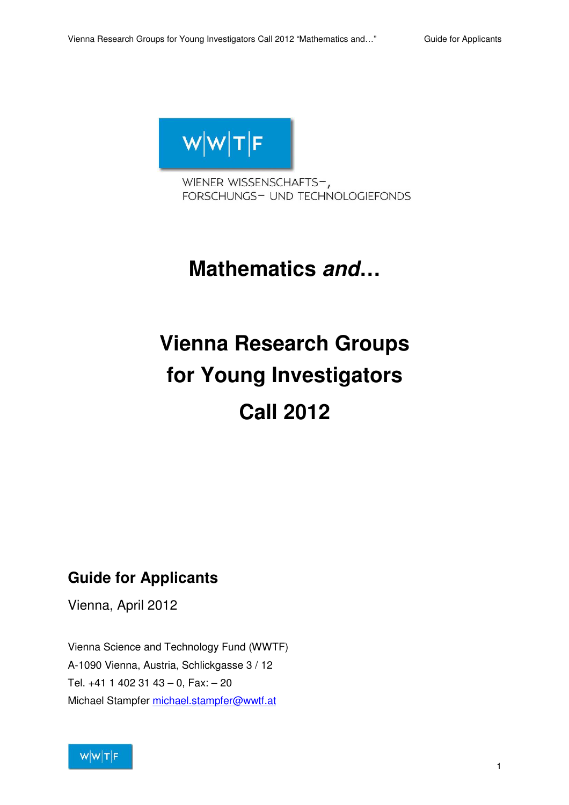

WIENER WISSENSCHAFTS-, FORSCHUNGS- UND TECHNOLOGIEFONDS

# **Mathematics and…**

# **Vienna Research Groups for Young Investigators Call 2012**

# **Guide for Applicants**

Vienna, April 2012

Vienna Science and Technology Fund (WWTF) A-1090 Vienna, Austria, Schlickgasse 3 / 12 Tel. +41 1 402 31 43 – 0, Fax: – 20 Michael Stampfer michael.stampfer@wwtf.at

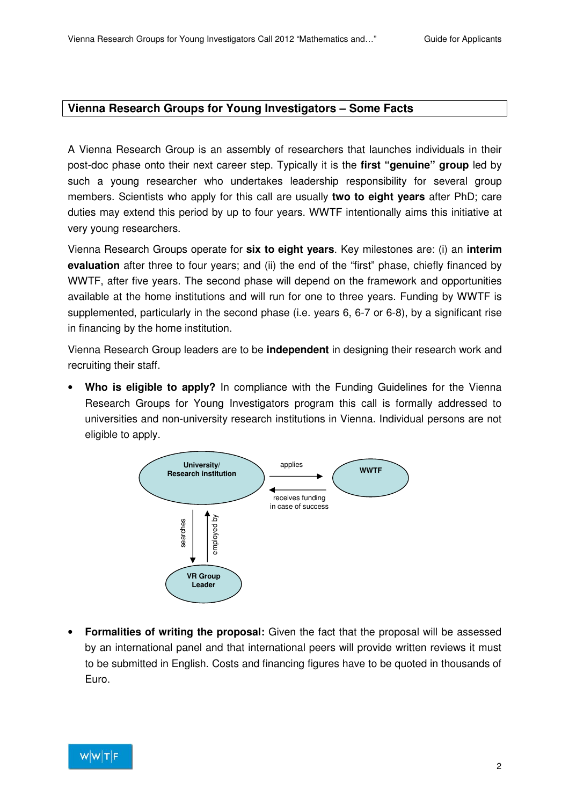#### **Vienna Research Groups for Young Investigators – Some Facts**

A Vienna Research Group is an assembly of researchers that launches individuals in their post-doc phase onto their next career step. Typically it is the **first "genuine" group** led by such a young researcher who undertakes leadership responsibility for several group members. Scientists who apply for this call are usually **two to eight years** after PhD; care duties may extend this period by up to four years. WWTF intentionally aims this initiative at very young researchers.

Vienna Research Groups operate for **six to eight years**. Key milestones are: (i) an **interim evaluation** after three to four years; and (ii) the end of the "first" phase, chiefly financed by WWTF, after five years. The second phase will depend on the framework and opportunities available at the home institutions and will run for one to three years. Funding by WWTF is supplemented, particularly in the second phase (i.e. years 6, 6-7 or 6-8), by a significant rise in financing by the home institution.

Vienna Research Group leaders are to be **independent** in designing their research work and recruiting their staff.

• **Who is eligible to apply?** In compliance with the Funding Guidelines for the Vienna Research Groups for Young Investigators program this call is formally addressed to universities and non-university research institutions in Vienna. Individual persons are not eligible to apply.



• **Formalities of writing the proposal:** Given the fact that the proposal will be assessed by an international panel and that international peers will provide written reviews it must to be submitted in English. Costs and financing figures have to be quoted in thousands of Euro.

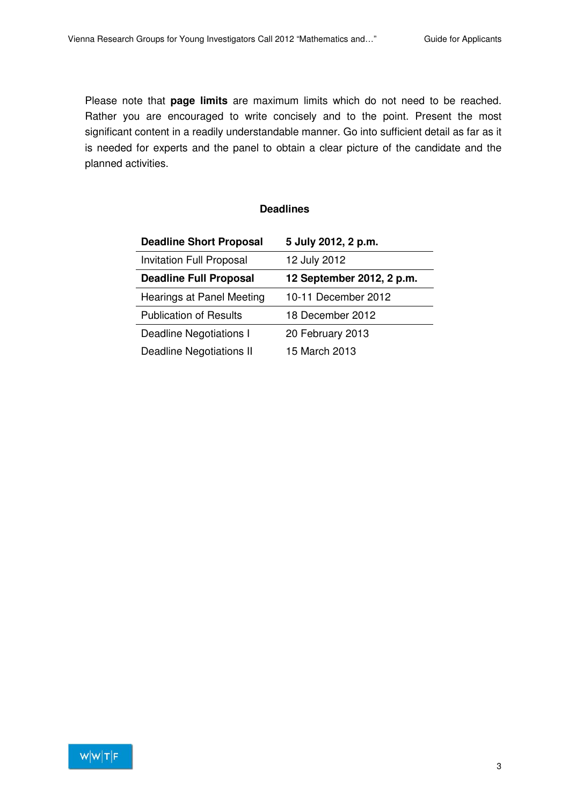Please note that **page limits** are maximum limits which do not need to be reached. Rather you are encouraged to write concisely and to the point. Present the most significant content in a readily understandable manner. Go into sufficient detail as far as it is needed for experts and the panel to obtain a clear picture of the candidate and the planned activities.

#### **Deadlines**

| <b>Deadline Short Proposal</b>   | 5 July 2012, 2 p.m.       |
|----------------------------------|---------------------------|
| <b>Invitation Full Proposal</b>  | 12 July 2012              |
| <b>Deadline Full Proposal</b>    | 12 September 2012, 2 p.m. |
| <b>Hearings at Panel Meeting</b> | 10-11 December 2012       |
| <b>Publication of Results</b>    | 18 December 2012          |
| Deadline Negotiations I          | 20 February 2013          |
| <b>Deadline Negotiations II</b>  | 15 March 2013             |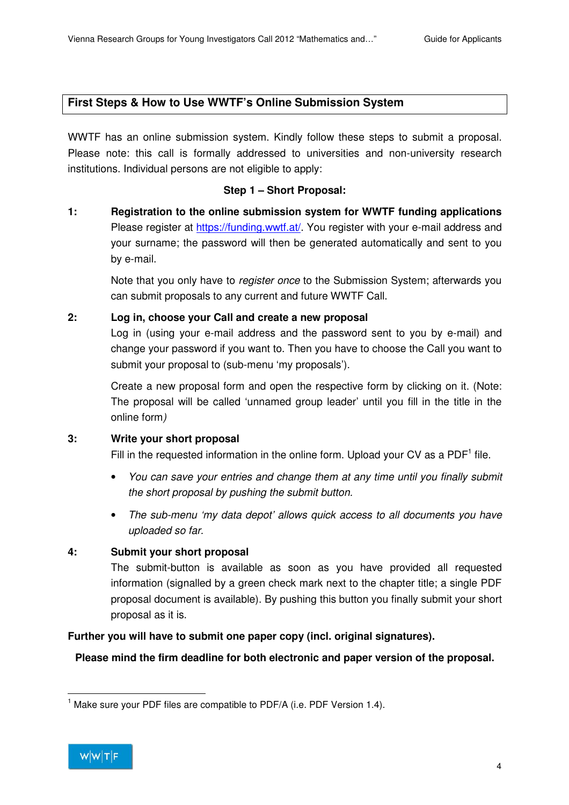# **First Steps & How to Use WWTF's Online Submission System**

WWTF has an online submission system. Kindly follow these steps to submit a proposal. Please note: this call is formally addressed to universities and non-university research institutions. Individual persons are not eligible to apply:

#### **Step 1 – Short Proposal:**

**1: Registration to the online submission system for WWTF funding applications** Please register at https://funding.wwtf.at/. You register with your e-mail address and your surname; the password will then be generated automatically and sent to you by e-mail.

Note that you only have to *register once* to the Submission System; afterwards you can submit proposals to any current and future WWTF Call.

#### **2: Log in, choose your Call and create a new proposal**

Log in (using your e-mail address and the password sent to you by e-mail) and change your password if you want to. Then you have to choose the Call you want to submit your proposal to (sub-menu 'my proposals').

 Create a new proposal form and open the respective form by clicking on it. (Note: The proposal will be called 'unnamed group leader' until you fill in the title in the online form)

#### **3: Write your short proposal**

Fill in the requested information in the online form. Upload your CV as a PDF $^1$  file.

- You can save your entries and change them at any time until you finally submit the short proposal by pushing the submit button.
- The sub-menu 'my data depot' allows quick access to all documents you have uploaded so far.

#### **4: Submit your short proposal**

The submit-button is available as soon as you have provided all requested information (signalled by a green check mark next to the chapter title; a single PDF proposal document is available). By pushing this button you finally submit your short proposal as it is.

#### **Further you will have to submit one paper copy (incl. original signatures).**

**Please mind the firm deadline for both electronic and paper version of the proposal.**

<sup>1</sup> Make sure your PDF files are compatible to PDF/A (i.e. PDF Version 1.4).



 $\overline{a}$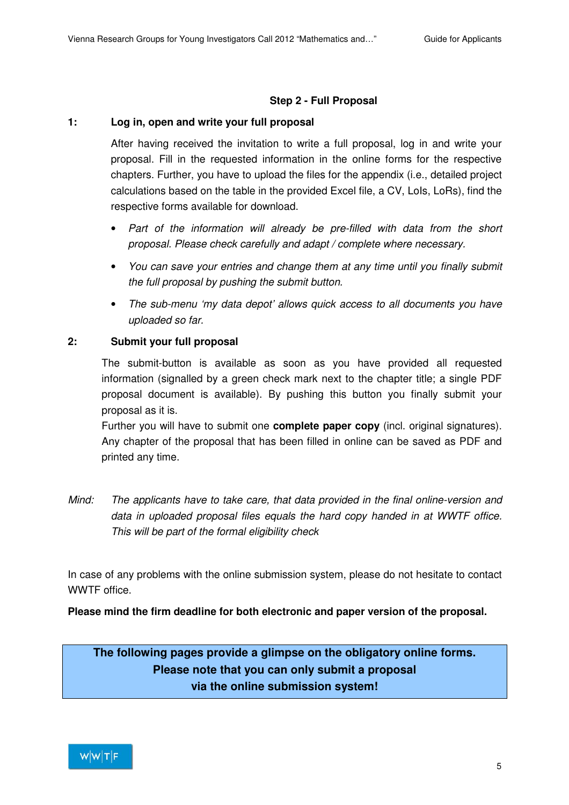#### **Step 2 - Full Proposal**

#### **1: Log in, open and write your full proposal**

After having received the invitation to write a full proposal, log in and write your proposal. Fill in the requested information in the online forms for the respective chapters. Further, you have to upload the files for the appendix (i.e., detailed project calculations based on the table in the provided Excel file, a CV, LoIs, LoRs), find the respective forms available for download.

- Part of the information will already be pre-filled with data from the short proposal. Please check carefully and adapt / complete where necessary.
- You can save your entries and change them at any time until you finally submit the full proposal by pushing the submit button.
- The sub-menu 'my data depot' allows quick access to all documents you have uploaded so far.

#### **2: Submit your full proposal**

The submit-button is available as soon as you have provided all requested information (signalled by a green check mark next to the chapter title; a single PDF proposal document is available). By pushing this button you finally submit your proposal as it is.

Further you will have to submit one **complete paper copy** (incl. original signatures). Any chapter of the proposal that has been filled in online can be saved as PDF and printed any time.

Mind: The applicants have to take care, that data provided in the final online-version and data in uploaded proposal files equals the hard copy handed in at WWTF office. This will be part of the formal eligibility check

In case of any problems with the online submission system, please do not hesitate to contact WWTF office.

**Please mind the firm deadline for both electronic and paper version of the proposal.** 

**The following pages provide a glimpse on the obligatory online forms. Please note that you can only submit a proposal via the online submission system!** 

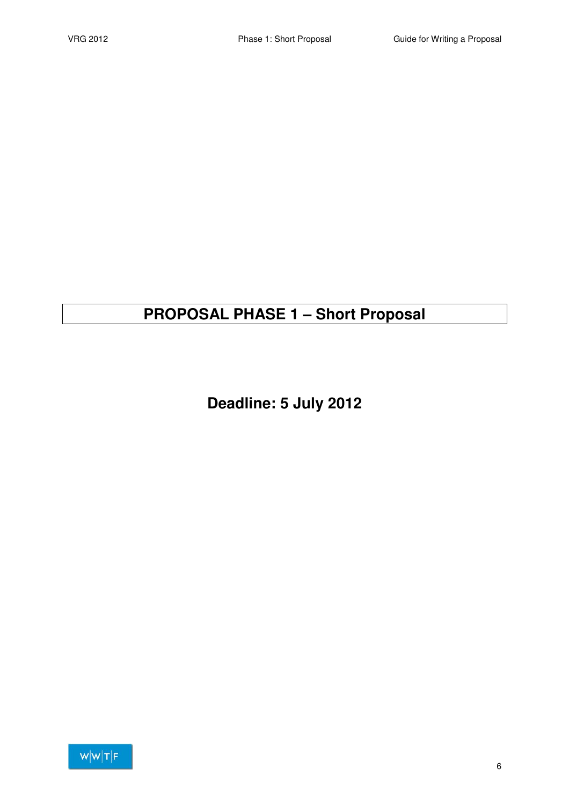# **PROPOSAL PHASE 1 – Short Proposal**

**Deadline: 5 July 2012** 

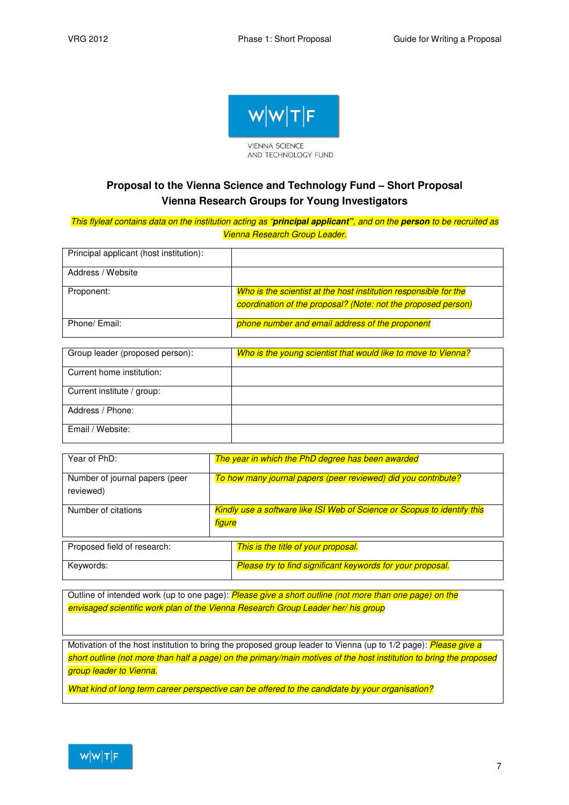

# **Proposal to the Vienna Science and Technology Fund – Short Proposal Vienna Research Groups for Young Investigators**

This flyleaf contains data on the institution acting as "**principal applicant"**, and on the **person** to be recruited as Vienna Research Group Leader.

| Principal applicant (host institution): |                                                                  |
|-----------------------------------------|------------------------------------------------------------------|
|                                         |                                                                  |
| Address / Website                       |                                                                  |
|                                         |                                                                  |
| Proponent:                              | Who is the scientist at the host institution responsible for the |
|                                         | coordination of the proposal? (Note: not the proposed person)    |
|                                         |                                                                  |
| Phone/ Email:                           | phone number and email address of the proponent                  |
|                                         |                                                                  |

| Group leader (proposed person): | Who is the young scientist that would like to move to Vienna? |
|---------------------------------|---------------------------------------------------------------|
| Current home institution:       |                                                               |
| Current institute / group:      |                                                               |
| Address / Phone:                |                                                               |
| Email / Website:                |                                                               |

| Year of PhD:                                | The year in which the PhD degree has been awarded                                  |  |
|---------------------------------------------|------------------------------------------------------------------------------------|--|
| Number of journal papers (peer<br>reviewed) | To how many journal papers (peer reviewed) did you contribute?                     |  |
| Number of citations                         | Kindly use a software like ISI Web of Science or Scopus to identify this<br>figure |  |
|                                             |                                                                                    |  |
| Proposed field of research:                 | This is the title of your proposal.                                                |  |

Outline of intended work (up to one page): Please give a short outline (not more than one page) on the envisaged scientific work plan of the Vienna Research Group Leader her/ his group

Motivation of the host institution to bring the proposed group leader to Vienna (up to 1/2 page): Please give a short outline (not more than half a page) on the primary/main motives of the host institution to bring the proposed group leader to Vienna.

What kind of long term career perspective can be offered to the candidate by your organisation?

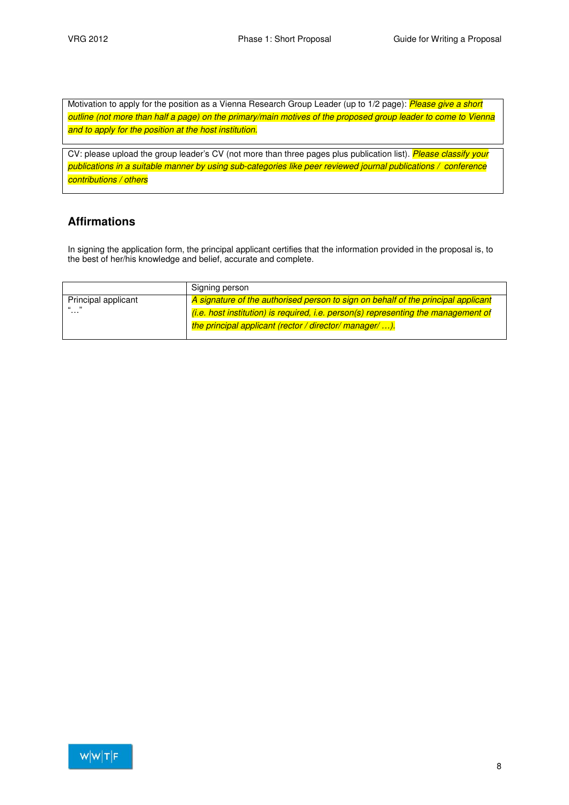Motivation to apply for the position as a Vienna Research Group Leader (up to 1/2 page): Please give a short outline (not more than half a page) on the primary/main motives of the proposed group leader to come to Vienna and to apply for the position at the host institution.

CV: please upload the group leader's CV (not more than three pages plus publication list). Please classify your publications in a suitable manner by using sub-categories like peer reviewed journal publications / conference contributions / others

## **Affirmations**

In signing the application form, the principal applicant certifies that the information provided in the proposal is, to the best of her/his knowledge and belief, accurate and complete.

|                     | Signing person                                                                     |
|---------------------|------------------------------------------------------------------------------------|
| Principal applicant | A signature of the authorised person to sign on behalf of the principal applicant  |
| 66 99<br>.          | (i.e. host institution) is required, i.e. person(s) representing the management of |
|                     | the principal applicant (rector / director/ manager/ ).                            |
|                     |                                                                                    |

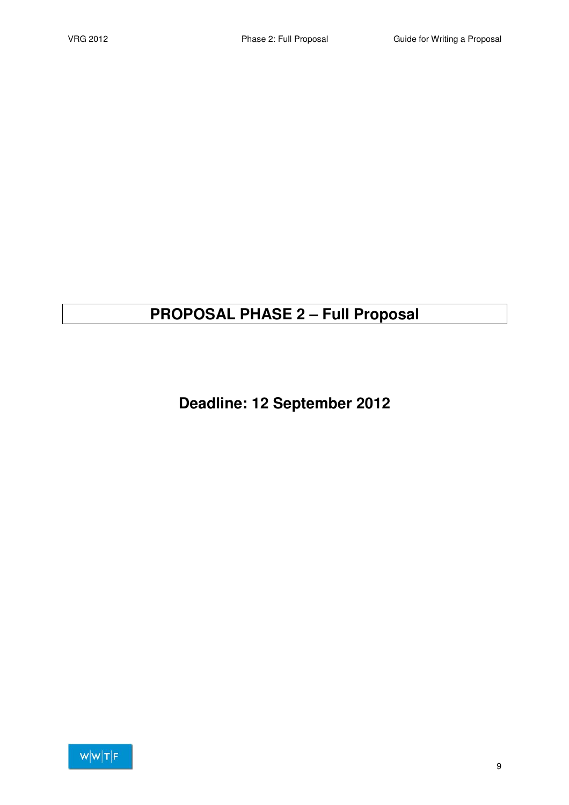# **PROPOSAL PHASE 2 – Full Proposal**

**Deadline: 12 September 2012** 

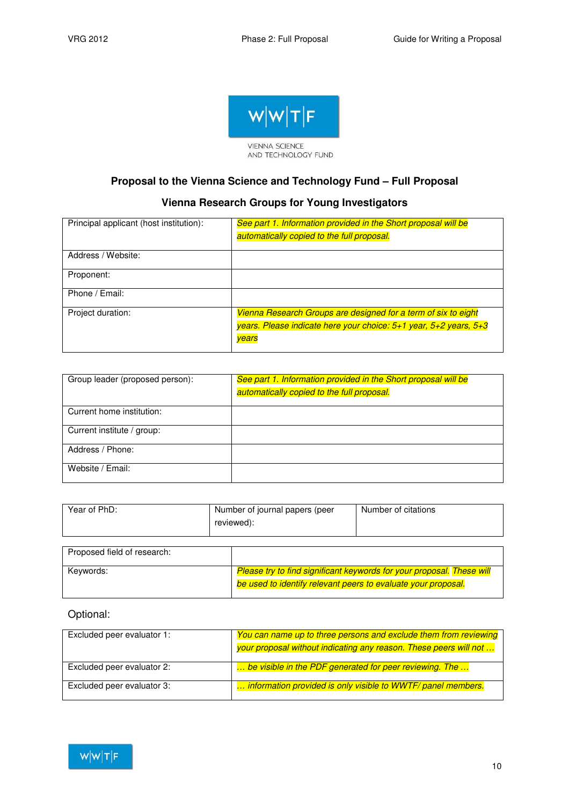

## **Proposal to the Vienna Science and Technology Fund – Full Proposal**

#### **Vienna Research Groups for Young Investigators**

| Principal applicant (host institution): | See part 1. Information provided in the Short proposal will be                                                                               |
|-----------------------------------------|----------------------------------------------------------------------------------------------------------------------------------------------|
|                                         | automatically copied to the full proposal.                                                                                                   |
| Address / Website:                      |                                                                                                                                              |
| Proponent:                              |                                                                                                                                              |
| Phone / Email:                          |                                                                                                                                              |
| Project duration:                       | Vienna Research Groups are designed for a term of six to eight<br>years. Please indicate here your choice: 5+1 year, 5+2 years, 5+3<br>years |

| Group leader (proposed person): | See part 1. Information provided in the Short proposal will be<br>automatically copied to the full proposal. |
|---------------------------------|--------------------------------------------------------------------------------------------------------------|
| Current home institution:       |                                                                                                              |
| Current institute / group:      |                                                                                                              |
| Address / Phone:                |                                                                                                              |
| Website / Email:                |                                                                                                              |

| Year of PhD:                | Number of journal papers (peer<br>reviewed): | Number of citations                                                   |
|-----------------------------|----------------------------------------------|-----------------------------------------------------------------------|
| Proposed field of research: |                                              |                                                                       |
| Keywords:                   |                                              | Please try to find significant keywords for your proposal. These will |

be used to identify relevant peers to evaluate your proposal.

#### Optional:

| Excluded peer evaluator 1: | You can name up to three persons and exclude them from reviewing  |
|----------------------------|-------------------------------------------------------------------|
|                            | your proposal without indicating any reason. These peers will not |
| Excluded peer evaluator 2: | be visible in the PDF generated for peer reviewing. The           |
| Excluded peer evaluator 3: | information provided is only visible to WWTF/ panel members.      |

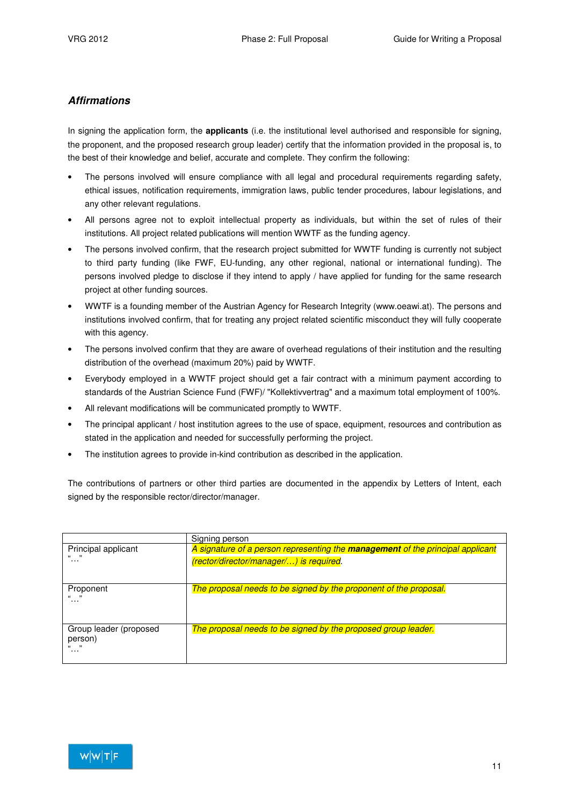#### **Affirmations**

In signing the application form, the **applicants** (i.e. the institutional level authorised and responsible for signing, the proponent, and the proposed research group leader) certify that the information provided in the proposal is, to the best of their knowledge and belief, accurate and complete. They confirm the following:

- The persons involved will ensure compliance with all legal and procedural requirements regarding safety, ethical issues, notification requirements, immigration laws, public tender procedures, labour legislations, and any other relevant regulations.
- All persons agree not to exploit intellectual property as individuals, but within the set of rules of their institutions. All project related publications will mention WWTF as the funding agency.
- The persons involved confirm, that the research project submitted for WWTF funding is currently not subject to third party funding (like FWF, EU-funding, any other regional, national or international funding). The persons involved pledge to disclose if they intend to apply / have applied for funding for the same research project at other funding sources.
- WWTF is a founding member of the Austrian Agency for Research Integrity (www.oeawi.at). The persons and institutions involved confirm, that for treating any project related scientific misconduct they will fully cooperate with this agency.
- The persons involved confirm that they are aware of overhead regulations of their institution and the resulting distribution of the overhead (maximum 20%) paid by WWTF.
- Everybody employed in a WWTF project should get a fair contract with a minimum payment according to standards of the Austrian Science Fund (FWF)/ "Kollektivvertrag" and a maximum total employment of 100%.
- All relevant modifications will be communicated promptly to WWTF.
- The principal applicant / host institution agrees to the use of space, equipment, resources and contribution as stated in the application and needed for successfully performing the project.
- The institution agrees to provide in-kind contribution as described in the application.

The contributions of partners or other third parties are documented in the appendix by Letters of Intent, each signed by the responsible rector/director/manager.

|                                        | Signing person                                                                 |
|----------------------------------------|--------------------------------------------------------------------------------|
| Principal applicant                    | A signature of a person representing the management of the principal applicant |
| .                                      | (rector/director/manager/) is required.                                        |
| Proponent<br>.                         | The proposal needs to be signed by the proponent of the proposal.              |
| Group leader (proposed<br>person)<br>. | The proposal needs to be signed by the proposed group leader.                  |

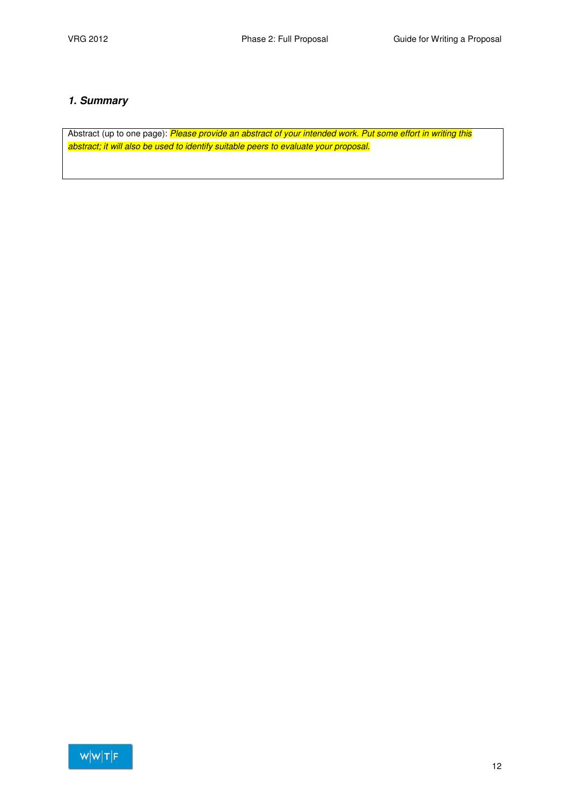# **1. Summary**

Abstract (up to one page): Please provide an abstract of your intended work. Put some effort in writing this abstract; it will also be used to identify suitable peers to evaluate your proposal.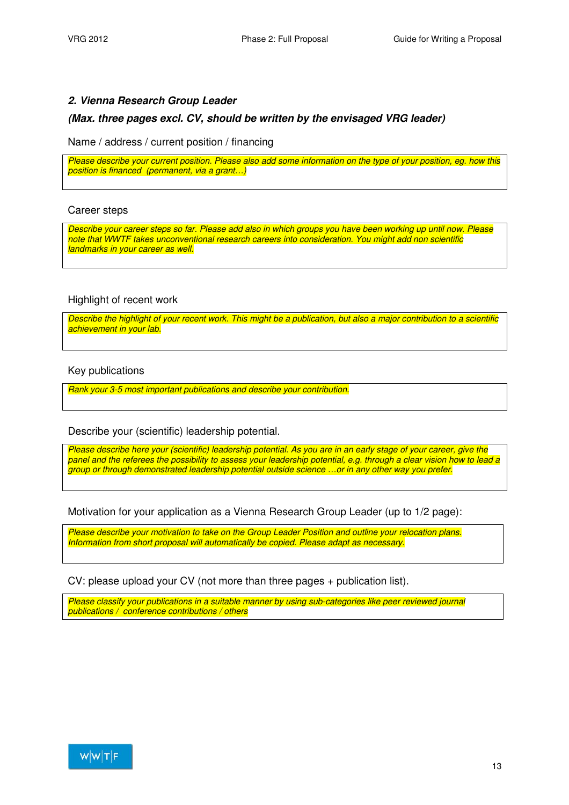#### **2. Vienna Research Group Leader**

#### **(Max. three pages excl. CV, should be written by the envisaged VRG leader)**

Name / address / current position / financing

Please describe your current position. Please also add some information on the type of your position, eg. how this position is financed (permanent, via a grant...)

#### Career steps

Describe your career steps so far. Please add also in which groups you have been working up until now. Please note that WWTF takes unconventional research careers into consideration. You might add non scientific landmarks in your career as well.

#### Highlight of recent work

Describe the highlight of your recent work. This might be a publication, but also a major contribution to a scientific achievement in your lab.

#### Key publications

Rank your 3-5 most important publications and describe your contribution.

Describe your (scientific) leadership potential.

Please describe here your (scientific) leadership potential. As you are in an early stage of your career, give the panel and the referees the possibility to assess your leadership potential, e.g. through a clear vision how to lead a group or through demonstrated leadership potential outside science …or in any other way you prefer.

Motivation for your application as a Vienna Research Group Leader (up to 1/2 page):

Please describe your motivation to take on the Group Leader Position and outline your relocation plans. Information from short proposal will automatically be copied. Please adapt as necessary.

CV: please upload your CV (not more than three pages + publication list).

Please classify your publications in a suitable manner by using sub-categories like peer reviewed journal publications / conference contributions / others

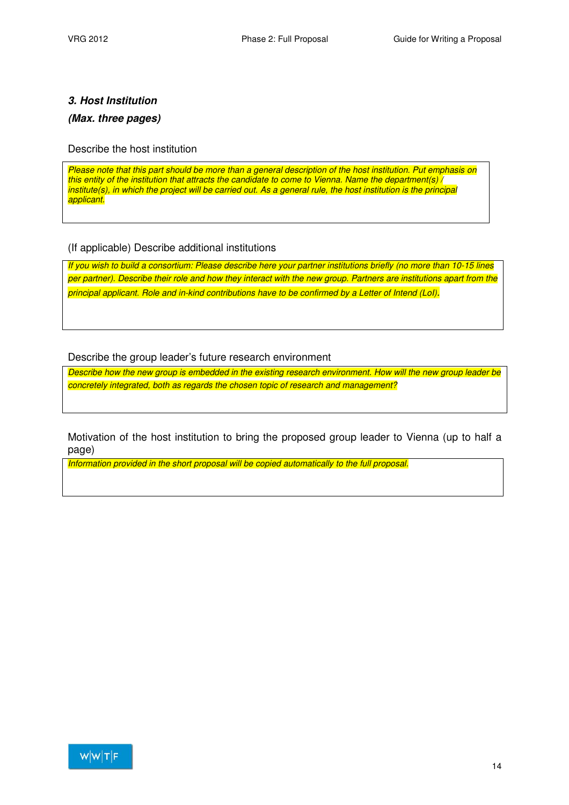# **3. Host Institution**

#### **(Max. three pages)**

Describe the host institution

Please note that this part should be more than a general description of the host institution. Put emphasis on this entity of the institution that attracts the candidate to come to Vienna. Name the department(s) / institute(s), in which the project will be carried out. As a general rule, the host institution is the principal applicant.

#### (If applicable) Describe additional institutions

If you wish to build a consortium: Please describe here your partner institutions briefly (no more than 10-15 lines per partner). Describe their role and how they interact with the new group. Partners are institutions apart from the principal applicant. Role and in-kind contributions have to be confirmed by a Letter of Intend (LoI).

#### Describe the group leader's future research environment

Describe how the new group is embedded in the existing research environment. How will the new group leader be concretely integrated, both as regards the chosen topic of research and management?

Motivation of the host institution to bring the proposed group leader to Vienna (up to half a page)

Information provided in the short proposal will be copied automatically to the full proposal.

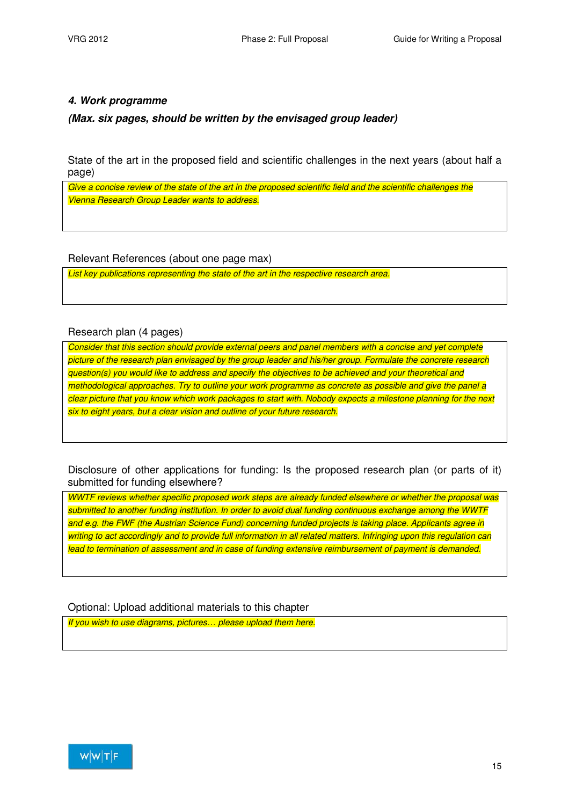#### **4. Work programme**

**(Max. six pages, should be written by the envisaged group leader)** 

State of the art in the proposed field and scientific challenges in the next years (about half a page)

Give a concise review of the state of the art in the proposed scientific field and the scientific challenges the Vienna Research Group Leader wants to address.

Relevant References (about one page max)

List key publications representing the state of the art in the respective research area.

#### Research plan (4 pages)

Consider that this section should provide external peers and panel members with a concise and yet complete picture of the research plan envisaged by the group leader and his/her group. Formulate the concrete research question(s) you would like to address and specify the objectives to be achieved and your theoretical and methodological approaches. Try to outline your work programme as concrete as possible and give the panel a clear picture that you know which work packages to start with. Nobody expects a milestone planning for the next six to eight years, but a clear vision and outline of your future research.

Disclosure of other applications for funding: Is the proposed research plan (or parts of it) submitted for funding elsewhere?

WWTF reviews whether specific proposed work steps are already funded elsewhere or whether the proposal was submitted to another funding institution. In order to avoid dual funding continuous exchange among the WWTF and e.g. the FWF (the Austrian Science Fund) concerning funded projects is taking place. Applicants agree in writing to act accordingly and to provide full information in all related matters. Infringing upon this regulation can lead to termination of assessment and in case of funding extensive reimbursement of payment is demanded.

Optional: Upload additional materials to this chapter

If you wish to use diagrams, pictures... please upload them here.

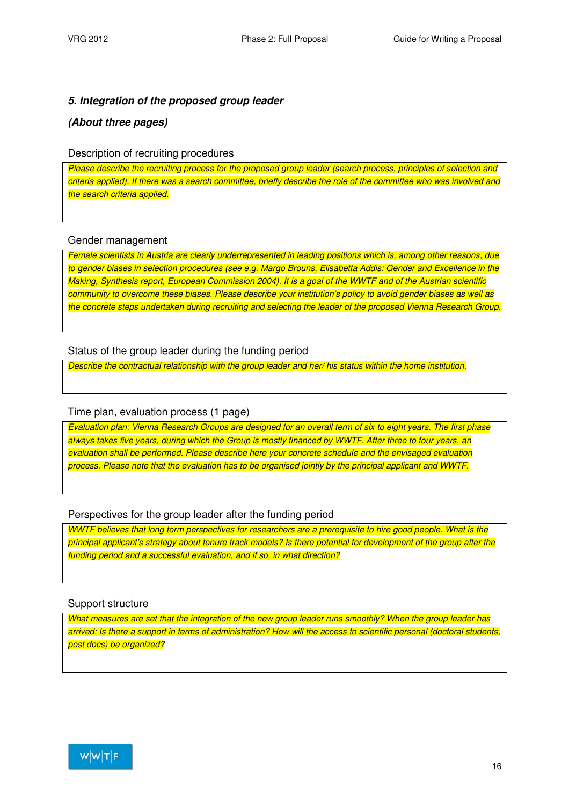#### **5. Integration of the proposed group leader**

#### **(About three pages)**

#### Description of recruiting procedures

Please describe the recruiting process for the proposed group leader (search process, principles of selection and criteria applied). If there was a search committee, briefly describe the role of the committee who was involved and the search criteria applied.

#### Gender management

Female scientists in Austria are clearly underrepresented in leading positions which is, among other reasons, due to gender biases in selection procedures (see e.g. Margo Brouns, Elisabetta Addis: Gender and Excellence in the Making, Synthesis report, European Commission 2004). It is a goal of the WWTF and of the Austrian scientific community to overcome these biases. Please describe your institution's policy to avoid gender biases as well as the concrete steps undertaken during recruiting and selecting the leader of the proposed Vienna Research Group.

#### Status of the group leader during the funding period

Describe the contractual relationship with the group leader and her/ his status within the home institution.

#### Time plan, evaluation process (1 page)

Evaluation plan: Vienna Research Groups are designed for an overall term of six to eight years. The first phase always takes five years, during which the Group is mostly financed by WWTF. After three to four years, an evaluation shall be performed. Please describe here your concrete schedule and the envisaged evaluation process. Please note that the evaluation has to be organised jointly by the principal applicant and WWTF.

#### Perspectives for the group leader after the funding period

WWTF believes that long term perspectives for researchers are a prerequisite to hire good people. What is the principal applicant's strategy about tenure track models? Is there potential for development of the group after the funding period and a successful evaluation, and if so, in what direction?

#### Support structure

What measures are set that the integration of the new group leader runs smoothly? When the group leader has arrived: Is there a support in terms of administration? How will the access to scientific personal (doctoral students, post docs) be organized?

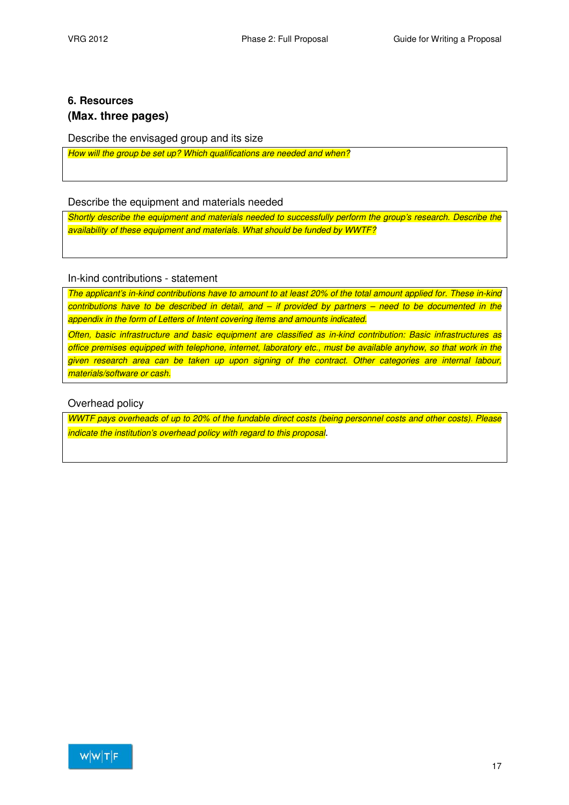# **6. Resources (Max. three pages)**

Describe the envisaged group and its size

How will the group be set up? Which qualifications are needed and when?

Describe the equipment and materials needed

Shortly describe the equipment and materials needed to successfully perform the group's research. Describe the availability of these equipment and materials. What should be funded by WWTF?

In-kind contributions - statement

The applicant's in-kind contributions have to amount to at least 20% of the total amount applied for. These in-kind contributions have to be described in detail, and  $-$  if provided by partners  $-$  need to be documented in the appendix in the form of Letters of Intent covering items and amounts indicated.

Often, basic infrastructure and basic equipment are classified as in-kind contribution: Basic infrastructures as office premises equipped with telephone, internet, laboratory etc., must be available anyhow, so that work in the given research area can be taken up upon signing of the contract. Other categories are internal labour, materials/software or cash.

Overhead policy

WWTF pays overheads of up to 20% of the fundable direct costs (being personnel costs and other costs). Please indicate the institution's overhead policy with regard to this proposal.

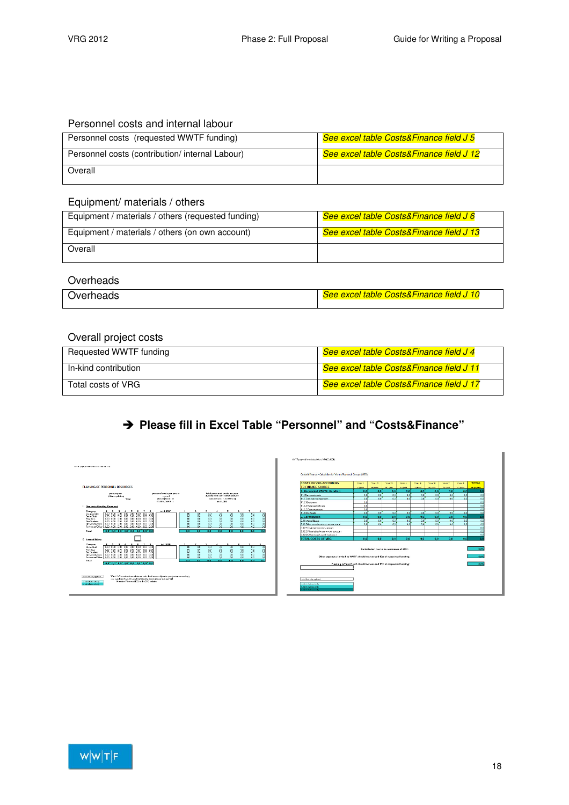#### Personnel costs and internal labour

| Personnel costs (requested WWTF funding)        | See excel table Costs&Finance field J 5  |
|-------------------------------------------------|------------------------------------------|
| Personnel costs (contribution/ internal Labour) | See excel table Costs&Finance field J 12 |
| Overall                                         |                                          |

#### Equipment/ materials / others

| Equipment / materials / others (requested funding) | See excel table Costs&Finance field J 6  |
|----------------------------------------------------|------------------------------------------|
| Equipment / materials / others (on own account)    | See excel table Costs&Finance field J 13 |
| Overall                                            |                                          |

#### **Overheads**

| $\mathbf{M}$<br>רוגי - | - 1<br><b>AOSIS&amp;F</b><br>באר<br>76<br>9 X N<br>. .<br>.<br>''''''<br>''''<br>. . |
|------------------------|--------------------------------------------------------------------------------------|

### Overall project costs

| Requested WWTF funding | See excel table Costs&Finance field J 4  |
|------------------------|------------------------------------------|
| In-kind contribution   | See excel table Costs&Finance field J 11 |
| Total costs of VRG     | See excel table Costs&Finance field J 17 |

# **Please fill in Excel Table "Personnel" and "Costs&Finance"**

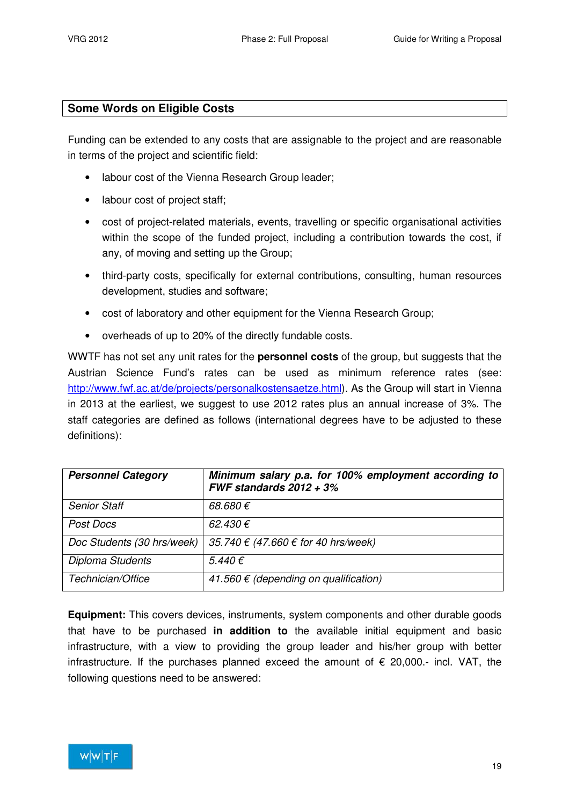## **Some Words on Eligible Costs**

Funding can be extended to any costs that are assignable to the project and are reasonable in terms of the project and scientific field:

- labour cost of the Vienna Research Group leader;
- labour cost of project staff;
- cost of project-related materials, events, travelling or specific organisational activities within the scope of the funded project, including a contribution towards the cost, if any, of moving and setting up the Group;
- third-party costs, specifically for external contributions, consulting, human resources development, studies and software;
- cost of laboratory and other equipment for the Vienna Research Group;
- overheads of up to 20% of the directly fundable costs.

WWTF has not set any unit rates for the **personnel costs** of the group, but suggests that the Austrian Science Fund's rates can be used as minimum reference rates (see: http://www.fwf.ac.at/de/projects/personalkostensaetze.html). As the Group will start in Vienna in 2013 at the earliest, we suggest to use 2012 rates plus an annual increase of 3%. The staff categories are defined as follows (international degrees have to be adjusted to these definitions):

| <b>Personnel Category</b>  | Minimum salary p.a. for 100% employment according to<br>FWF standards $2012 + 3%$ |
|----------------------------|-----------------------------------------------------------------------------------|
| <b>Senior Staff</b>        | 68.680€                                                                           |
| Post Docs                  | $62.430 \in$                                                                      |
| Doc Students (30 hrs/week) | 35.740 € (47.660 € for 40 hrs/week)                                               |
| Diploma Students           | 5.440€                                                                            |
| Technician/Office          | 41.560 € (depending on qualification)                                             |

**Equipment:** This covers devices, instruments, system components and other durable goods that have to be purchased **in addition to** the available initial equipment and basic infrastructure, with a view to providing the group leader and his/her group with better infrastructure. If the purchases planned exceed the amount of  $\epsilon$  20,000.- incl. VAT, the following questions need to be answered:

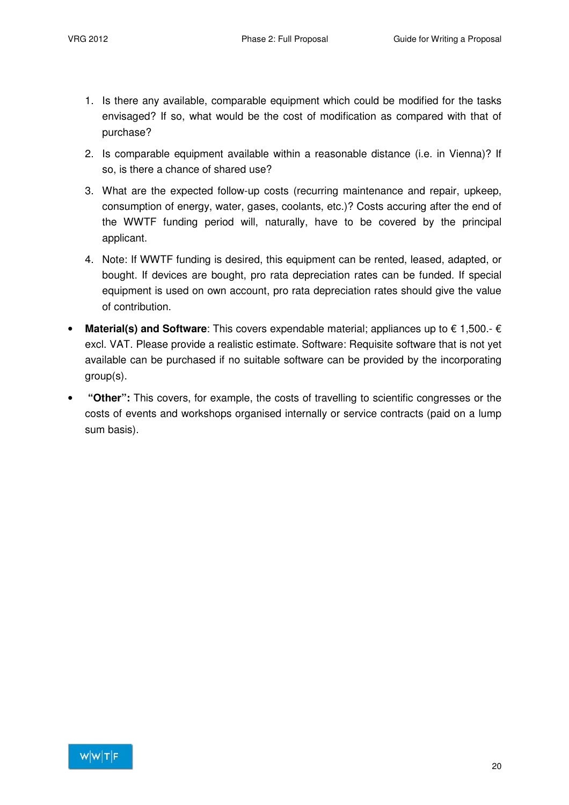- 1. Is there any available, comparable equipment which could be modified for the tasks envisaged? If so, what would be the cost of modification as compared with that of purchase?
- 2. Is comparable equipment available within a reasonable distance (i.e. in Vienna)? If so, is there a chance of shared use?
- 3. What are the expected follow-up costs (recurring maintenance and repair, upkeep, consumption of energy, water, gases, coolants, etc.)? Costs accuring after the end of the WWTF funding period will, naturally, have to be covered by the principal applicant.
- 4. Note: If WWTF funding is desired, this equipment can be rented, leased, adapted, or bought. If devices are bought, pro rata depreciation rates can be funded. If special equipment is used on own account, pro rata depreciation rates should give the value of contribution.
- **Material(s) and Software**: This covers expendable material; appliances up to € 1,500.- € excl. VAT. Please provide a realistic estimate. Software: Requisite software that is not yet available can be purchased if no suitable software can be provided by the incorporating group(s).
- **"Other":** This covers, for example, the costs of travelling to scientific congresses or the costs of events and workshops organised internally or service contracts (paid on a lump sum basis).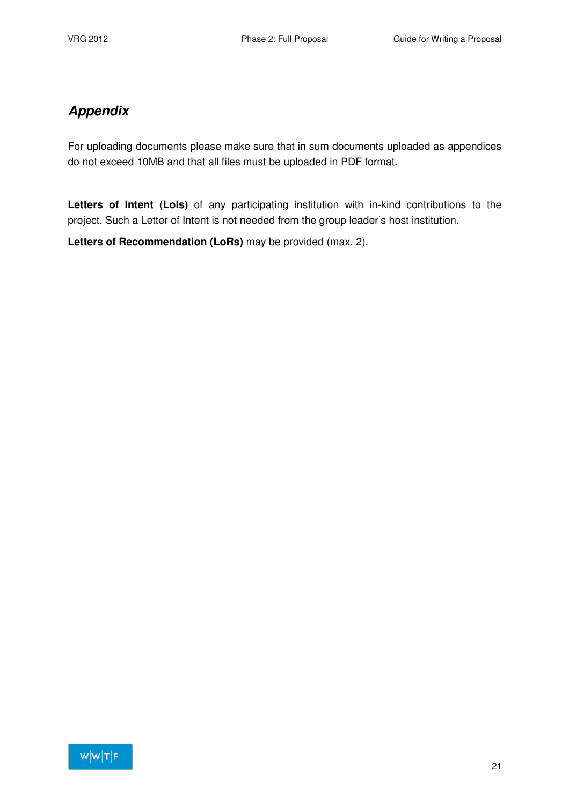# **Appendix**

For uploading documents please make sure that in sum documents uploaded as appendices do not exceed 10MB and that all files must be uploaded in PDF format.

Letters of Intent (LoIs) of any participating institution with in-kind contributions to the project. Such a Letter of Intent is not needed from the group leader's host institution.

**Letters of Recommendation (LoRs)** may be provided (max. 2).